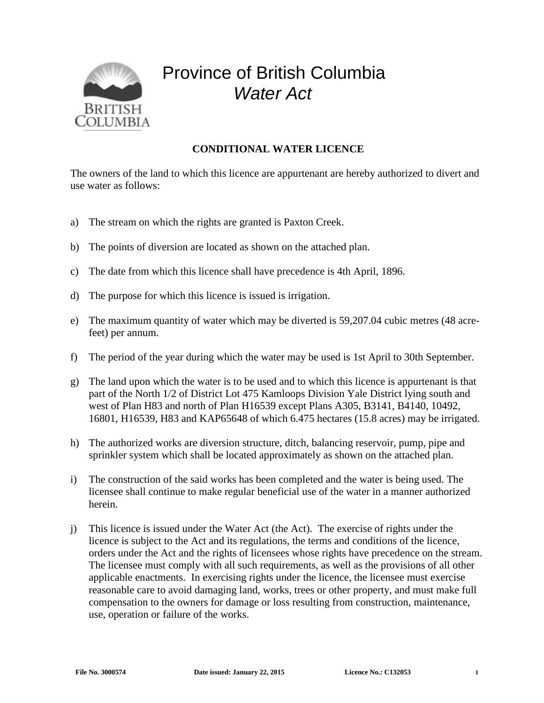

## Province of British Columbia *Water Act*

## **CONDITIONAL WATER LICENCE**

The owners of the land to which this licence are appurtenant are hereby authorized to divert and use water as follows:

- a) The stream on which the rights are granted is Paxton Creek.
- b) The points of diversion are located as shown on the attached plan.
- c) The date from which this licence shall have precedence is 4th April, 1896.
- d) The purpose for which this licence is issued is irrigation.
- e) The maximum quantity of water which may be diverted is 59,207.04 cubic metres (48 acrefeet) per annum.
- f) The period of the year during which the water may be used is 1st April to 30th September.
- g) The land upon which the water is to be used and to which this licence is appurtenant is that part of the North 1/2 of District Lot 475 Kamloops Division Yale District lying south and west of Plan H83 and north of Plan H16539 except Plans A305, B3141, B4140, 10492, 16801, H16539, H83 and KAP65648 of which 6.475 hectares (15.8 acres) may be irrigated.
- h) The authorized works are diversion structure, ditch, balancing reservoir, pump, pipe and sprinkler system which shall be located approximately as shown on the attached plan.
- i) The construction of the said works has been completed and the water is being used. The licensee shall continue to make regular beneficial use of the water in a manner authorized herein.
- j) This licence is issued under the Water Act (the Act). The exercise of rights under the licence is subject to the Act and its regulations, the terms and conditions of the licence, orders under the Act and the rights of licensees whose rights have precedence on the stream. The licensee must comply with all such requirements, as well as the provisions of all other applicable enactments. In exercising rights under the licence, the licensee must exercise reasonable care to avoid damaging land, works, trees or other property, and must make full compensation to the owners for damage or loss resulting from construction, maintenance, use, operation or failure of the works.